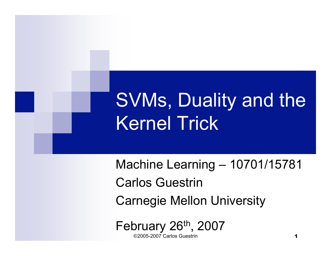# SVMs, Duality and the Kernel Trick

Machine Learning – 10701/15781 Carlos Guestrin Carnegie Mellon University

©2005-2007 Carlos Guestrin 1 February 26<sup>th</sup>, 2007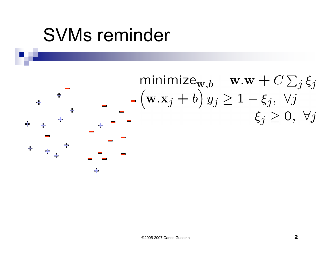## SVMs reminder

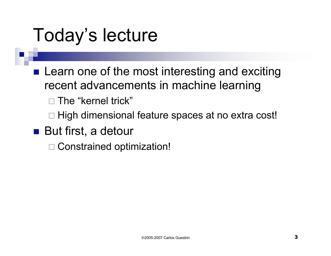## Today's lecture

- **Learn one of the most interesting and exciting** recent advancements in machine learning
	- $\square$  The "kernel trick"
	- $\Box$  High dimensional feature spaces at no extra cost!
- But first, a detour
	- □ Constrained optimization!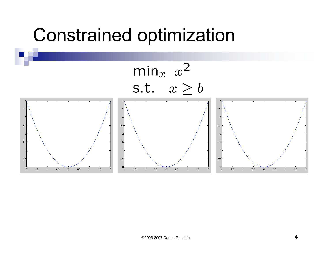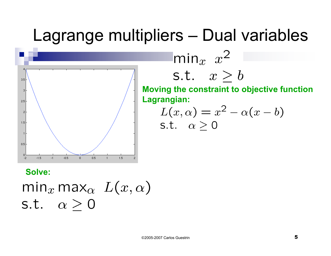#### Lagrange multipliers – Dual variables



S.t. 
$$
x \geq b
$$
  
Moving the constraint to objective function  
Lagrangian:

 $\mathsf{min}_x$   $x^2$ 

$$
L(x, \alpha) = x^2 - \alpha(x - b)
$$
  
s.t.  $\alpha \ge 0$ 

**Solve:** $\min_x \max_\alpha L(x, \alpha)$ s.t.  $\alpha > 0$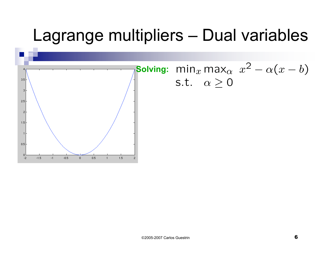#### Lagrange multipliers – Dual variables

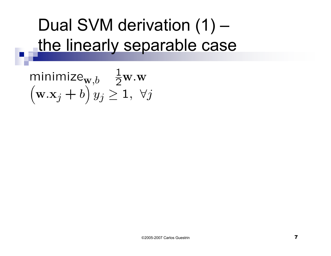## Dual SVM derivation (1) – the linearly separable case

$$
\begin{array}{ll}\text{minimize}_{\mathbf{w},b} & \frac{1}{2}\mathbf{w}.\mathbf{w} \\ \left(\mathbf{w}.\mathbf{x}_j + b\right)y_j \ge 1, \ \forall j \end{array}
$$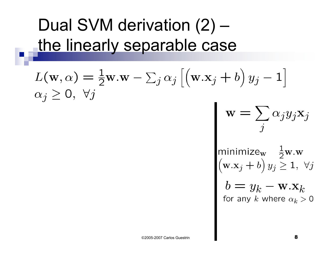## Dual SVM derivation (2) – the linearly separable case

$$
L(\mathbf{w}, \alpha) = \frac{1}{2} \mathbf{w} \cdot \mathbf{w} - \sum_{j} \alpha_{j} \left[ \left( \mathbf{w} \cdot \mathbf{x}_{j} + b \right) y_{j} - 1 \right]
$$
  
\n
$$
\alpha_{j} \geq 0, \forall j
$$
  
\n
$$
\mathbf{w} = \sum_{j} \alpha_{j} y_{j} \mathbf{x}_{j}
$$
  
\n
$$
\mathbf{w} = \sum_{j} \alpha_{j} y_{j} \mathbf{x}_{j}
$$
  
\n
$$
\text{minimize}_{\mathbf{w}} \frac{1}{2} \mathbf{w} \cdot \mathbf{w}
$$
  
\n
$$
\left( \mathbf{w} \cdot \mathbf{x}_{j} + b \right) y_{j} \geq 1, \forall j
$$

$$
o = y_k - \mathbf{w}.\mathbf{x}_k
$$
 for any  $k$  where  $\alpha_k > 0$ 

 $\mathbf{L}$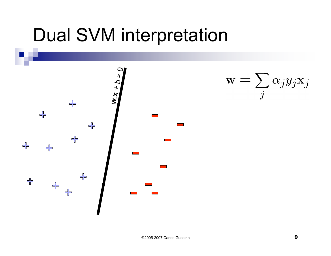## Dual SVM interpretation

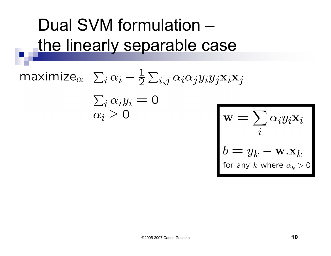### Dual SVM formulation – the linearly separable case

maximize<sub>$$
\alpha
$$</sub>  $\sum_i \alpha_i - \frac{1}{2} \sum_{i,j} \alpha_i \alpha_j y_i y_j \mathbf{x}_i \mathbf{x}_j$   
\n $\sum_i \alpha_i y_i = 0$   
\n $\alpha_i \ge 0$   
\n $\mathbf{w} = \sum_i \alpha_i y_i \mathbf{x}_i$   
\n $b = y_k - \mathbf{w} \cdot \mathbf{x}_k$   
\nfor any *k* where  $\alpha_k > 0$ 

©2005-2007 Carlos Guestrin 10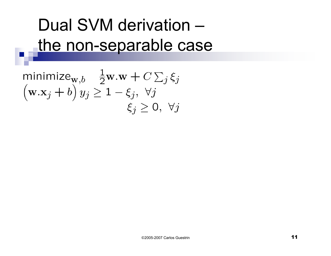## Dual SVM derivation – the non-separable case

minimize<sub>**w**,*b*</sub> 
$$
\frac{1}{2}
$$
**w**.**w** +  $C \sum_j \xi_j$   
\n(**w**.**x**<sub>j</sub> + *b*)  $y_j \ge 1 - \xi_j$ ,  $\forall j$   
\n $\xi_j \ge 0$ ,  $\forall j$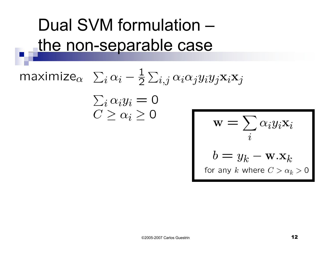## Dual SVM formulation – the non-separable case

maximize<sub>$$
\alpha
$$</sub>  $\sum_i \alpha_i - \frac{1}{2} \sum_{i,j} \alpha_i \alpha_j y_i y_j \mathbf{x}_i \mathbf{x}_j$   
\n $\sum_i \alpha_i y_i = 0$   
\n $C \ge \alpha_i \ge 0$   
\n $\mathbf{w} = \sum_i \alpha_i y_i \mathbf{x}_i$   
\n $b = y_k - \mathbf{w} \cdot \mathbf{x}_k$   
\nfor any *k* where  $C > \alpha_k > 0$ 

©2005-2007 Carlos Guestrin 12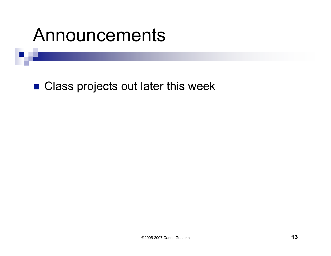### Announcements

■ Class projects out later this week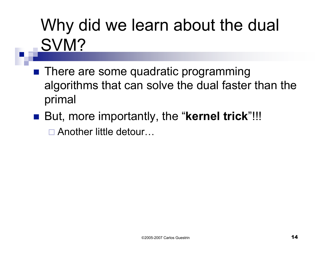## Why did we learn about the dual SVM?

- **There are some quadratic programming** algorithms that can solve the dual faster than the primal
- But, more importantly, the "**kernel trick**"!!!

□ Another little detour...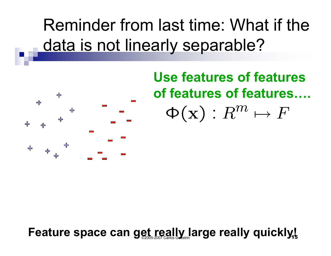Reminder from last time: What if the data is not linearly separable?



**Use features of features of features of features….**  $\Phi(\mathbf{x}): R^m \mapsto F$ 

Feature space can get really large really quickly!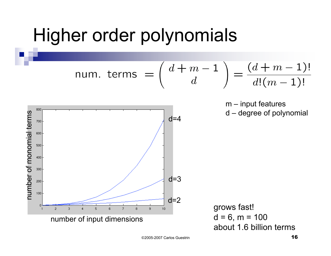### Higher order polynomials

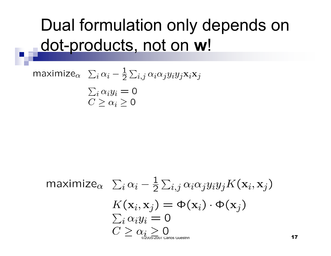#### Dual formulation only depends on dot-products, not on **w**!

$$
\begin{array}{ll}\n\text{maximize}_{\alpha} & \sum_{i} \alpha_i - \frac{1}{2} \sum_{i,j} \alpha_i \alpha_j y_i y_j \mathbf{x}_i \mathbf{x}_j \\
& \sum_{i} \alpha_i y_i = 0 \\
& C \ge \alpha_i \ge 0\n\end{array}
$$

$$
\begin{array}{ll}\n\text{maximize}_{\alpha} & \sum_{i} \alpha_i - \frac{1}{2} \sum_{i,j} \alpha_i \alpha_j y_i y_j K(\mathbf{x}_i, \mathbf{x}_j) \\
& K(\mathbf{x}_i, \mathbf{x}_j) = \Phi(\mathbf{x}_i) \cdot \Phi(\mathbf{x}_j) \\
& \sum_{i} \alpha_i y_i = 0 \\
& C \geq \alpha_i \geq 0 \\
& C \geq \alpha_i \geq 0\n\end{array}
$$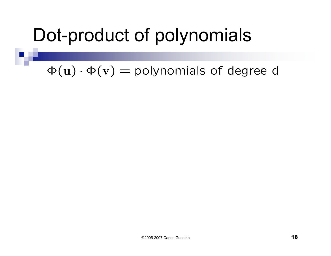## Dot-product of polynomials

 $\Phi(\mathbf{u}) \cdot \Phi(\mathbf{v}) =$  polynomials of degree d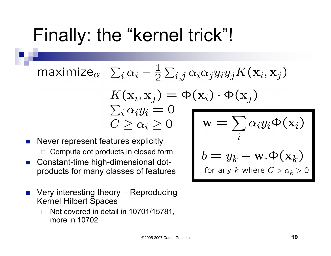## Finally: the "kernel trick"!

maximize<sub>α</sub> 
$$
\sum_i \alpha_i - \frac{1}{2} \sum_{i,j} \alpha_i \alpha_j y_i y_j K(\mathbf{x}_i, \mathbf{x}_j)
$$
  
\n $K(\mathbf{x}_i, \mathbf{x}_j) = \Phi(\mathbf{x}_i) \cdot \Phi(\mathbf{x}_j)$   
\n $\sum_i \alpha_i y_i = 0$   
\n $C \ge \alpha_i \ge 0$   $\mathbf{w} = \sum_i \alpha_i y_i \Phi(\mathbf{x}_i)$ 

- Never represent features explicitly  $\Box$  Compute dot products in closed form
- Constant-time high-dimensional dotproducts for many classes of features
- Very interesting theory Reproducing Kernel Hilbert Spaces
	- Not covered in detail in 10701/15781, more in 10702

©2005-2007 Carlos Guestrin 19

 $b = y_k - \mathbf{w}.\Phi(\mathbf{x}_k)$ <br>for any k where  $C > \alpha_k > 0$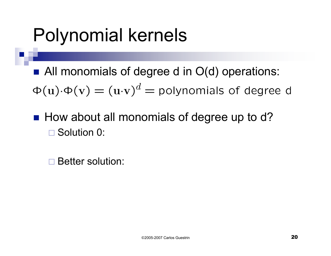## Polynomial kernels

■ All monomials of degree d in O(d) operations:  $\Phi(\mathbf{u}) \cdot \Phi(\mathbf{v}) = (\mathbf{u} \cdot \mathbf{v})^d$  = polynomials of degree d

 $\blacksquare$  How about all monomials of degree up to d? □ Solution 0:

Better solution: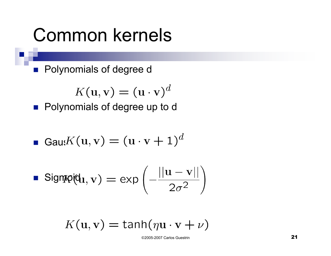### Common kernels

**Polynomials of degree d** 

$$
K(\mathbf{u}, \mathbf{v}) = (\mathbf{u} \cdot \mathbf{v})^d
$$

**Polynomials of degree up to d** 

**Gal**
$$
K(\mathbf{u}, \mathbf{v}) = (\mathbf{u} \cdot \mathbf{v} + 1)^d
$$

**Signpq(d<sub>1</sub>, v)** = exp
$$
\left(-\frac{||\mathbf{u} - \mathbf{v}||}{2\sigma^2}\right)
$$

$$
K(\mathbf{u}, \mathbf{v}) = \tanh(\eta \mathbf{u} \cdot \mathbf{v} + \nu)
$$

©2005-2007 Carlos Guestrin 21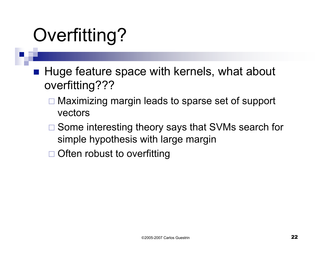## Overfitting?

- Huge feature space with kernels, what about overfitting???
	- □ Maximizing margin leads to sparse set of support vectors
	- □ Some interesting theory says that SVMs search for simple hypothesis with large margin
	- □ Often robust to overfitting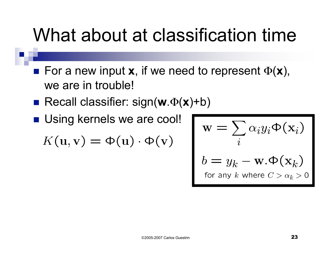## What about at classification time

- **For a new input x**, if we need to represent  $\Phi(\mathbf{x})$ , we are in trouble!
- Recall classifier: sign(**w**.Φ(**x**)+b)
- **Using kernels we are cool!**

 $K(\mathbf{u}, \mathbf{v}) = \Phi(\mathbf{u}) \cdot \Phi(\mathbf{v})$ 

$$
\mathbf{w} = \sum_{i} \alpha_i y_i \Phi(\mathbf{x}_i)
$$
  

$$
b = y_k - \mathbf{w} \Phi(\mathbf{x}_k)
$$
  
for any  $k$  where  $C > \alpha_k > 0$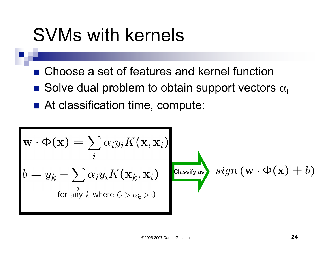## SVMs with kernels

- Choose a set of features and kernel function
- Solve dual problem to obtain support vectors  $\alpha_i$
- At classification time, compute:

$$
\mathbf{w} \cdot \Phi(\mathbf{x}) = \sum_{i} \alpha_i y_i K(\mathbf{x}, \mathbf{x}_i)
$$
  

$$
b = y_k - \sum_{i} \alpha_i y_i K(\mathbf{x}_k, \mathbf{x}_i)
$$
  
for any *k* where  $C > \alpha_k > 0$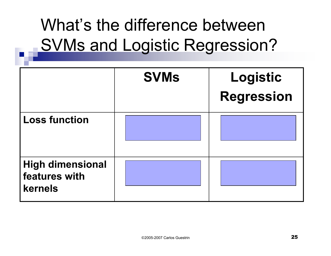## What's the difference between SVMs and Logistic Regression?

|                                                     | <b>SVMs</b> | Logistic<br><b>Regression</b> |
|-----------------------------------------------------|-------------|-------------------------------|
| <b>Loss function</b>                                |             |                               |
| <b>High dimensional</b><br>features with<br>kernels |             |                               |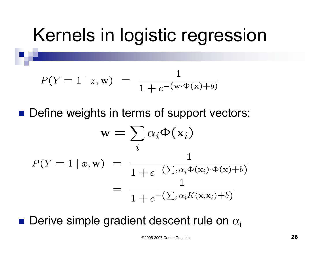## Kernels in logistic regression

$$
P(Y = 1 | x, w) = \frac{1}{1 + e^{-(w \cdot \Phi(x) + b)}}
$$

■ Define weights in terms of support vectors:

$$
\mathbf{w} = \sum_{i} \alpha_{i} \Phi(\mathbf{x}_{i})
$$

$$
P(Y = 1 | x, \mathbf{w}) = \frac{1}{1 + e^{-(\sum_{i} \alpha_{i} \Phi(\mathbf{x}_{i}) \cdot \Phi(\mathbf{x}) + b)}}
$$

$$
= \frac{1}{1 + e^{-(\sum_{i} \alpha_{i} K(\mathbf{x}, \mathbf{x}_{i}) + b)}}
$$

**Derive simple gradient descent rule on**  $\alpha_i$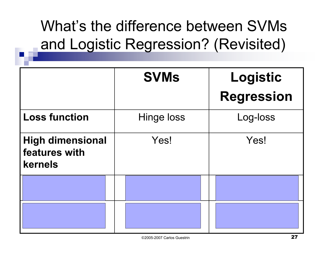#### What's the difference between SVMs and Logistic Regression? (Revisited)

|                                                     | <b>SVMs</b> | Logistic<br><b>Regression</b> |
|-----------------------------------------------------|-------------|-------------------------------|
| <b>Loss function</b>                                | Hinge loss  | Log-loss                      |
| <b>High dimensional</b><br>features with<br>kernels | Yes!        | Yes!                          |
|                                                     |             |                               |
|                                                     |             |                               |